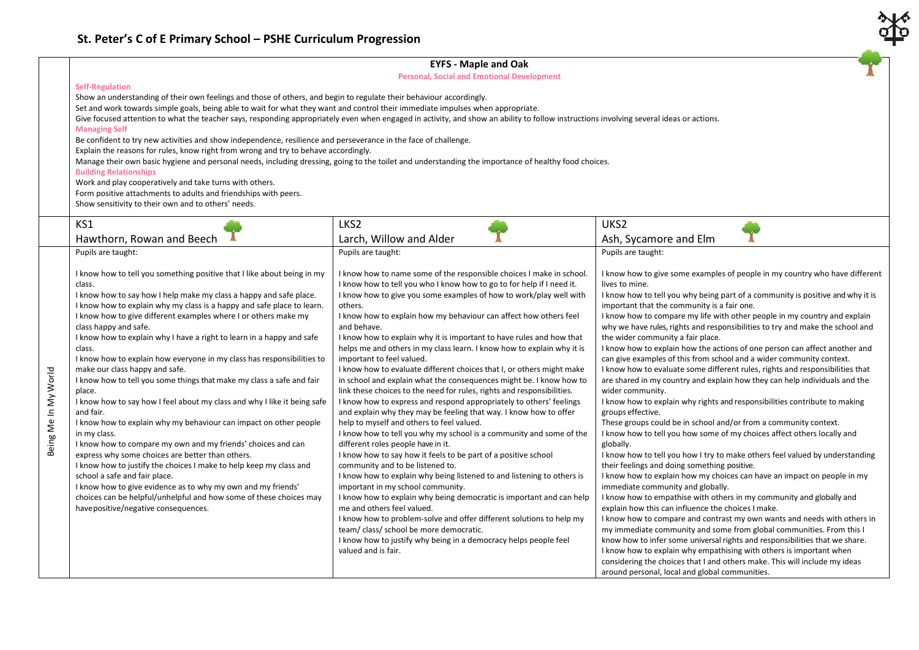## **EYFS - Maple and Oak**

**Personal, Social and Emotional Development**

## **Self-Regulation**

Show an understanding of their own feelings and those of others, and begin to regulate their behaviour accordingly.

Set and work towards simple goals, being able to wait for what they want and control their immediate impulses when appropriate.

Give focused attention to what the teacher says, responding appropriately even when engaged in activity, and show an ability to follow instructions involving several ideas or actions.

## **Managing Self**

Be confident to try new activities and show independence, resilience and perseverance in the face of challenge.

Explain the reasons for rules, know right from wrong and try to behave accordingly.

Manage their own basic hygiene and personal needs, including dressing, going to the toilet and understanding the importance of healthy food choices.

**Building Relationships**

Work and play cooperatively and take turns with others.

Form positive attachments to adults and friendships with peers.

Show sensitivity to their own and to others' needs.

|                      | KS1                                                                                                                                                                                                                                                                                                                                                                                                                                                                                                                                                                                                                                                                                                                                                                                                                                                                                                                                                                                                                                                                                                                                                                                                    | LKS2                                                                                                                                                                                                                                                                                                                                                                                                                                                                                                                                                                                                                                                                                                                                                                                                                                                                                                                                                                                                                                                                                                                                                                                                                                                                                                                                                                                                                                                                                                                                                                      | UKS <sub>2</sub>                                                                                                                                                                                                                                                                                                                                                                                                                                                                                                                                                                                                                                                                                                                                                                                                                                                                                                                                                                                                                                                                                                                                                                                                                                                                                                                                                                                                                                                                                                                                                                                                                                                                                                                                                                                                                                                  |
|----------------------|--------------------------------------------------------------------------------------------------------------------------------------------------------------------------------------------------------------------------------------------------------------------------------------------------------------------------------------------------------------------------------------------------------------------------------------------------------------------------------------------------------------------------------------------------------------------------------------------------------------------------------------------------------------------------------------------------------------------------------------------------------------------------------------------------------------------------------------------------------------------------------------------------------------------------------------------------------------------------------------------------------------------------------------------------------------------------------------------------------------------------------------------------------------------------------------------------------|---------------------------------------------------------------------------------------------------------------------------------------------------------------------------------------------------------------------------------------------------------------------------------------------------------------------------------------------------------------------------------------------------------------------------------------------------------------------------------------------------------------------------------------------------------------------------------------------------------------------------------------------------------------------------------------------------------------------------------------------------------------------------------------------------------------------------------------------------------------------------------------------------------------------------------------------------------------------------------------------------------------------------------------------------------------------------------------------------------------------------------------------------------------------------------------------------------------------------------------------------------------------------------------------------------------------------------------------------------------------------------------------------------------------------------------------------------------------------------------------------------------------------------------------------------------------------|-------------------------------------------------------------------------------------------------------------------------------------------------------------------------------------------------------------------------------------------------------------------------------------------------------------------------------------------------------------------------------------------------------------------------------------------------------------------------------------------------------------------------------------------------------------------------------------------------------------------------------------------------------------------------------------------------------------------------------------------------------------------------------------------------------------------------------------------------------------------------------------------------------------------------------------------------------------------------------------------------------------------------------------------------------------------------------------------------------------------------------------------------------------------------------------------------------------------------------------------------------------------------------------------------------------------------------------------------------------------------------------------------------------------------------------------------------------------------------------------------------------------------------------------------------------------------------------------------------------------------------------------------------------------------------------------------------------------------------------------------------------------------------------------------------------------------------------------------------------------|
|                      | Hawthorn, Rowan and Beech                                                                                                                                                                                                                                                                                                                                                                                                                                                                                                                                                                                                                                                                                                                                                                                                                                                                                                                                                                                                                                                                                                                                                                              | Larch, Willow and Alder                                                                                                                                                                                                                                                                                                                                                                                                                                                                                                                                                                                                                                                                                                                                                                                                                                                                                                                                                                                                                                                                                                                                                                                                                                                                                                                                                                                                                                                                                                                                                   | Ash, Sycamore and Elm                                                                                                                                                                                                                                                                                                                                                                                                                                                                                                                                                                                                                                                                                                                                                                                                                                                                                                                                                                                                                                                                                                                                                                                                                                                                                                                                                                                                                                                                                                                                                                                                                                                                                                                                                                                                                                             |
|                      | Pupils are taught:                                                                                                                                                                                                                                                                                                                                                                                                                                                                                                                                                                                                                                                                                                                                                                                                                                                                                                                                                                                                                                                                                                                                                                                     | Pupils are taught:                                                                                                                                                                                                                                                                                                                                                                                                                                                                                                                                                                                                                                                                                                                                                                                                                                                                                                                                                                                                                                                                                                                                                                                                                                                                                                                                                                                                                                                                                                                                                        | Pupils are taught:                                                                                                                                                                                                                                                                                                                                                                                                                                                                                                                                                                                                                                                                                                                                                                                                                                                                                                                                                                                                                                                                                                                                                                                                                                                                                                                                                                                                                                                                                                                                                                                                                                                                                                                                                                                                                                                |
| Being Me In My World | I know how to tell you something positive that I like about being in my<br>class.<br>I know how to say how I help make my class a happy and safe place.<br>I know how to explain why my class is a happy and safe place to learn.<br>I know how to give different examples where I or others make my<br>class happy and safe.<br>I know how to explain why I have a right to learn in a happy and safe<br>class.<br>I know how to explain how everyone in my class has responsibilities to<br>make our class happy and safe.<br>I know how to tell you some things that make my class a safe and fair<br>place.<br>I know how to say how I feel about my class and why I like it being safe<br>and fair.<br>I know how to explain why my behaviour can impact on other people<br>in my class.<br>I know how to compare my own and my friends' choices and can<br>express why some choices are better than others.<br>I know how to justify the choices I make to help keep my class and<br>school a safe and fair place.<br>I know how to give evidence as to why my own and my friends'<br>choices can be helpful/unhelpful and how some of these choices may<br>have positive/negative consequences. | I know how to name some of the responsible choices I make in school.<br>I know how to tell you who I know how to go to for help if I need it.<br>I know how to give you some examples of how to work/play well with<br>others.<br>I know how to explain how my behaviour can affect how others feel<br>and behave.<br>I know how to explain why it is important to have rules and how that<br>helps me and others in my class learn. I know how to explain why it is<br>important to feel valued.<br>I know how to evaluate different choices that I, or others might make<br>in school and explain what the consequences might be. I know how to<br>link these choices to the need for rules, rights and responsibilities.<br>I know how to express and respond appropriately to others' feelings<br>and explain why they may be feeling that way. I know how to offer<br>help to myself and others to feel valued.<br>I know how to tell you why my school is a community and some of the<br>different roles people have in it.<br>I know how to say how it feels to be part of a positive school<br>community and to be listened to.<br>I know how to explain why being listened to and listening to others is<br>important in my school community.<br>I know how to explain why being democratic is important and can help<br>me and others feel valued.<br>I know how to problem-solve and offer different solutions to help my<br>team/class/ school be more democratic.<br>I know how to justify why being in a democracy helps people feel<br>valued and is fair. | I know how to give some examples of people in my country who have different<br>lives to mine.<br>I know how to tell you why being part of a community is positive and why it is<br>important that the community is a fair one.<br>I know how to compare my life with other people in my country and explain<br>why we have rules, rights and responsibilities to try and make the school and<br>the wider community a fair place.<br>I know how to explain how the actions of one person can affect another and<br>can give examples of this from school and a wider community context.<br>I know how to evaluate some different rules, rights and responsibilities that<br>are shared in my country and explain how they can help individuals and the<br>wider community.<br>I know how to explain why rights and responsibilities contribute to making<br>groups effective.<br>These groups could be in school and/or from a community context.<br>I know how to tell you how some of my choices affect others locally and<br>globally.<br>I know how to tell you how I try to make others feel valued by understanding<br>their feelings and doing something positive.<br>I know how to explain how my choices can have an impact on people in my<br>immediate community and globally.<br>I know how to empathise with others in my community and globally and<br>explain how this can influence the choices I make.<br>I know how to compare and contrast my own wants and needs with others in<br>my immediate community and some from global communities. From this I<br>know how to infer some universal rights and responsibilities that we share.<br>I know how to explain why empathising with others is important when<br>considering the choices that I and others make. This will include my ideas<br>around personal, local and global communities. |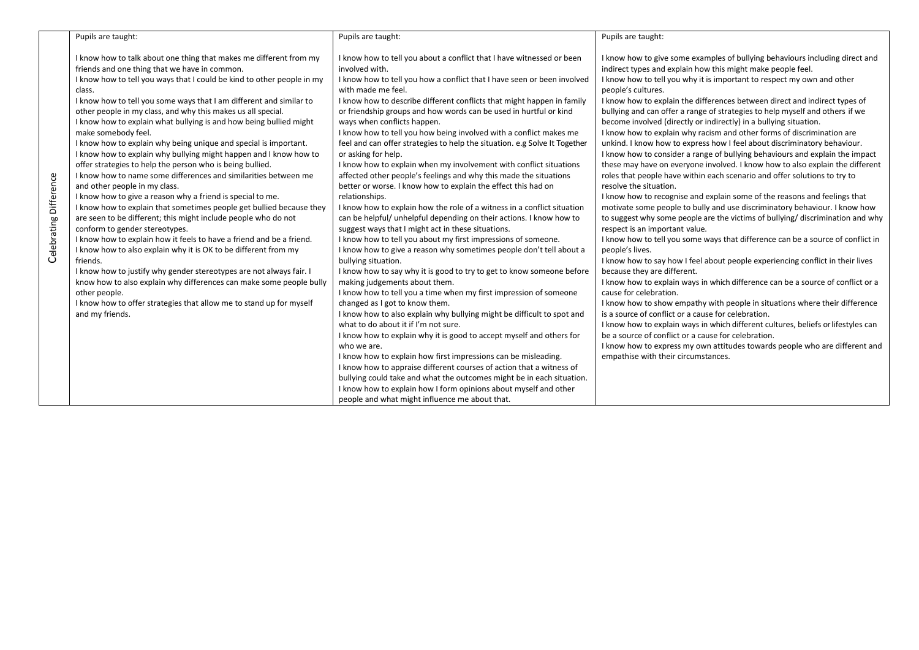|                        | Pupils are taught:                                                                                                                                                                                                                                                                                                                                                                                                                                                                                                                                                                                                                                                                                                                                                                                                                                                                                                                                                                                                                                                                                                                                                                                                                                                                                                                                                                                              | Pupils are taught:                                                                                                                                                                                                                                                                                                                                                                                                                                                                                                                                                                                                                                                                                                                                                                                                                                                                                                                                                                                                                                                                                                                                                                                                                                                                                                                                                                                                                                                                                                                                                                                                                                                                                                                                                                                                                                                                                                        | Pupils are taught:                                                                                                                                                                                                                                                                                                                                                                                                                                                                                                                                                                                                                                                                                                                                                                                                                                                                                                                                                                                                                                                                                                                                                                                                                                                                                                                                                                                                                                                                                                                                                                                                                                                                                                                                                                                                                                                                                                                     |
|------------------------|-----------------------------------------------------------------------------------------------------------------------------------------------------------------------------------------------------------------------------------------------------------------------------------------------------------------------------------------------------------------------------------------------------------------------------------------------------------------------------------------------------------------------------------------------------------------------------------------------------------------------------------------------------------------------------------------------------------------------------------------------------------------------------------------------------------------------------------------------------------------------------------------------------------------------------------------------------------------------------------------------------------------------------------------------------------------------------------------------------------------------------------------------------------------------------------------------------------------------------------------------------------------------------------------------------------------------------------------------------------------------------------------------------------------|---------------------------------------------------------------------------------------------------------------------------------------------------------------------------------------------------------------------------------------------------------------------------------------------------------------------------------------------------------------------------------------------------------------------------------------------------------------------------------------------------------------------------------------------------------------------------------------------------------------------------------------------------------------------------------------------------------------------------------------------------------------------------------------------------------------------------------------------------------------------------------------------------------------------------------------------------------------------------------------------------------------------------------------------------------------------------------------------------------------------------------------------------------------------------------------------------------------------------------------------------------------------------------------------------------------------------------------------------------------------------------------------------------------------------------------------------------------------------------------------------------------------------------------------------------------------------------------------------------------------------------------------------------------------------------------------------------------------------------------------------------------------------------------------------------------------------------------------------------------------------------------------------------------------------|----------------------------------------------------------------------------------------------------------------------------------------------------------------------------------------------------------------------------------------------------------------------------------------------------------------------------------------------------------------------------------------------------------------------------------------------------------------------------------------------------------------------------------------------------------------------------------------------------------------------------------------------------------------------------------------------------------------------------------------------------------------------------------------------------------------------------------------------------------------------------------------------------------------------------------------------------------------------------------------------------------------------------------------------------------------------------------------------------------------------------------------------------------------------------------------------------------------------------------------------------------------------------------------------------------------------------------------------------------------------------------------------------------------------------------------------------------------------------------------------------------------------------------------------------------------------------------------------------------------------------------------------------------------------------------------------------------------------------------------------------------------------------------------------------------------------------------------------------------------------------------------------------------------------------------------|
| Celebrating Difference | I know how to talk about one thing that makes me different from my<br>friends and one thing that we have in common.<br>I know how to tell you ways that I could be kind to other people in my<br>class.<br>I know how to tell you some ways that I am different and similar to<br>other people in my class, and why this makes us all special.<br>I know how to explain what bullying is and how being bullied might<br>make somebody feel.<br>I know how to explain why being unique and special is important.<br>I know how to explain why bullying might happen and I know how to<br>offer strategies to help the person who is being bullied.<br>I know how to name some differences and similarities between me<br>and other people in my class.<br>I know how to give a reason why a friend is special to me.<br>I know how to explain that sometimes people get bullied because they<br>are seen to be different; this might include people who do not<br>conform to gender stereotypes.<br>I know how to explain how it feels to have a friend and be a friend.<br>I know how to also explain why it is OK to be different from my<br>friends.<br>I know how to justify why gender stereotypes are not always fair. I<br>know how to also explain why differences can make some people bully<br>other people.<br>I know how to offer strategies that allow me to stand up for myself<br>and my friends. | I know how to tell you about a conflict that I have witnessed or been<br>involved with.<br>I know how to tell you how a conflict that I have seen or been involved<br>with made me feel.<br>I know how to describe different conflicts that might happen in family<br>or friendship groups and how words can be used in hurtful or kind<br>ways when conflicts happen.<br>I know how to tell you how being involved with a conflict makes me<br>feel and can offer strategies to help the situation. e.g Solve It Together<br>or asking for help.<br>I know how to explain when my involvement with conflict situations<br>affected other people's feelings and why this made the situations<br>better or worse. I know how to explain the effect this had on<br>relationships.<br>I know how to explain how the role of a witness in a conflict situation<br>can be helpful/ unhelpful depending on their actions. I know how to<br>suggest ways that I might act in these situations.<br>I know how to tell you about my first impressions of someone.<br>I know how to give a reason why sometimes people don't tell about a<br>bullying situation.<br>I know how to say why it is good to try to get to know someone before<br>making judgements about them.<br>I know how to tell you a time when my first impression of someone<br>changed as I got to know them.<br>I know how to also explain why bullying might be difficult to spot and<br>what to do about it if I'm not sure.<br>I know how to explain why it is good to accept myself and others for<br>who we are.<br>I know how to explain how first impressions can be misleading.<br>I know how to appraise different courses of action that a witness of<br>bullying could take and what the outcomes might be in each situation.<br>I know how to explain how I form opinions about myself and other<br>people and what might influence me about that. | I know how to give some examples of bullying behaviours including direct and<br>indirect types and explain how this might make people feel.<br>I know how to tell you why it is important to respect my own and other<br>people's cultures.<br>I know how to explain the differences between direct and indirect types of<br>bullying and can offer a range of strategies to help myself and others if we<br>become involved (directly or indirectly) in a bullying situation.<br>I know how to explain why racism and other forms of discrimination are<br>unkind. I know how to express how I feel about discriminatory behaviour.<br>I know how to consider a range of bullying behaviours and explain the impact<br>these may have on everyone involved. I know how to also explain the different<br>roles that people have within each scenario and offer solutions to try to<br>resolve the situation.<br>I know how to recognise and explain some of the reasons and feelings that<br>motivate some people to bully and use discriminatory behaviour. I know how<br>to suggest why some people are the victims of bullying/discrimination and why<br>respect is an important value.<br>I know how to tell you some ways that difference can be a source of conflict in<br>people's lives.<br>I know how to say how I feel about people experiencing conflict in their lives<br>because they are different.<br>I know how to explain ways in which difference can be a source of conflict or a<br>cause for celebration.<br>I know how to show empathy with people in situations where their difference<br>is a source of conflict or a cause for celebration.<br>I know how to explain ways in which different cultures, beliefs or lifestyles can<br>be a source of conflict or a cause for celebration.<br>I know how to express my own attitudes towards people who are different and<br>empathise with their circumstances. |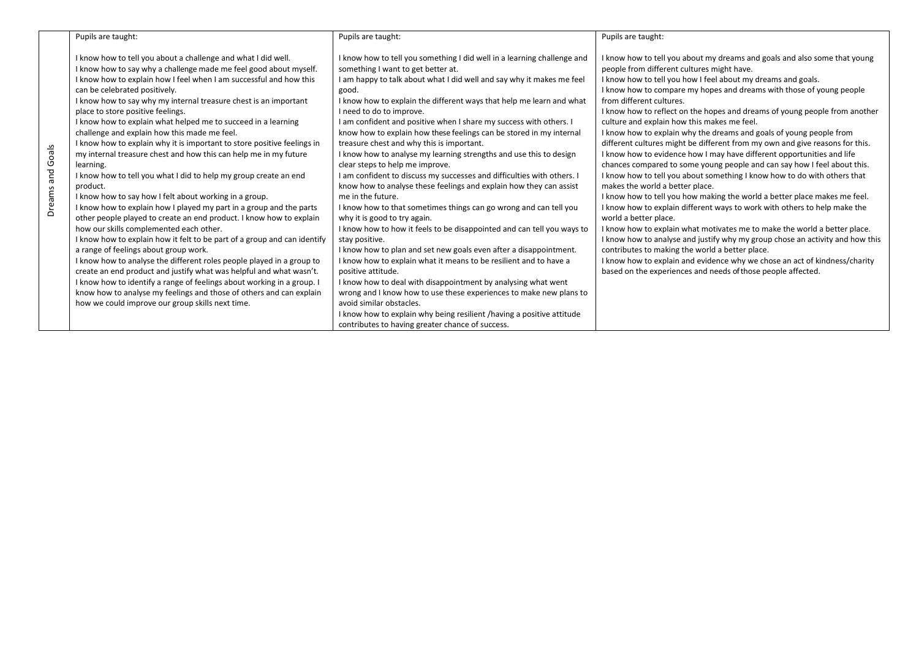|                  | Pupils are taught:                                                                                                                                                                                                                                                                                                                                                                                                                                                                                                                                                                                                                                                                                                                                                                                                                                                                                                                                                                                                                                                                                                                                                                                                                                                                                                                                                                                                                           | Pupils are taught:                                                                                                                                                                                                                                                                                                                                                                                                                                                                                                                                                                                                                                                                                                                                                                                                                                                                                                                                                                                                                                                                                                                                                                                                                                                                                                                                                                                                                            | Pupils are taught:                                                                                                                                                                                                                                                                                                                                                                                                                                                                                                                                                                                                                                                                                                                                                                                                                                                                                                                                                                                                                                                                                                                                                                                                                                                                                                                                                                                     |
|------------------|----------------------------------------------------------------------------------------------------------------------------------------------------------------------------------------------------------------------------------------------------------------------------------------------------------------------------------------------------------------------------------------------------------------------------------------------------------------------------------------------------------------------------------------------------------------------------------------------------------------------------------------------------------------------------------------------------------------------------------------------------------------------------------------------------------------------------------------------------------------------------------------------------------------------------------------------------------------------------------------------------------------------------------------------------------------------------------------------------------------------------------------------------------------------------------------------------------------------------------------------------------------------------------------------------------------------------------------------------------------------------------------------------------------------------------------------|-----------------------------------------------------------------------------------------------------------------------------------------------------------------------------------------------------------------------------------------------------------------------------------------------------------------------------------------------------------------------------------------------------------------------------------------------------------------------------------------------------------------------------------------------------------------------------------------------------------------------------------------------------------------------------------------------------------------------------------------------------------------------------------------------------------------------------------------------------------------------------------------------------------------------------------------------------------------------------------------------------------------------------------------------------------------------------------------------------------------------------------------------------------------------------------------------------------------------------------------------------------------------------------------------------------------------------------------------------------------------------------------------------------------------------------------------|--------------------------------------------------------------------------------------------------------------------------------------------------------------------------------------------------------------------------------------------------------------------------------------------------------------------------------------------------------------------------------------------------------------------------------------------------------------------------------------------------------------------------------------------------------------------------------------------------------------------------------------------------------------------------------------------------------------------------------------------------------------------------------------------------------------------------------------------------------------------------------------------------------------------------------------------------------------------------------------------------------------------------------------------------------------------------------------------------------------------------------------------------------------------------------------------------------------------------------------------------------------------------------------------------------------------------------------------------------------------------------------------------------|
| Dreams and Goals | I know how to tell you about a challenge and what I did well.<br>I know how to say why a challenge made me feel good about myself.<br>I know how to explain how I feel when I am successful and how this<br>can be celebrated positively.<br>I know how to say why my internal treasure chest is an important<br>place to store positive feelings.<br>I know how to explain what helped me to succeed in a learning<br>challenge and explain how this made me feel.<br>I know how to explain why it is important to store positive feelings in<br>my internal treasure chest and how this can help me in my future<br>learning.<br>I know how to tell you what I did to help my group create an end<br>product.<br>I know how to say how I felt about working in a group.<br>I know how to explain how I played my part in a group and the parts<br>other people played to create an end product. I know how to explain<br>how our skills complemented each other.<br>I know how to explain how it felt to be part of a group and can identify<br>a range of feelings about group work.<br>I know how to analyse the different roles people played in a group to<br>create an end product and justify what was helpful and what wasn't.<br>I know how to identify a range of feelings about working in a group. I<br>know how to analyse my feelings and those of others and can explain<br>how we could improve our group skills next time. | I know how to tell you something I did well in a learning challenge and<br>something I want to get better at.<br>I am happy to talk about what I did well and say why it makes me feel<br>good.<br>I know how to explain the different ways that help me learn and what<br>I need to do to improve.<br>I am confident and positive when I share my success with others. I<br>know how to explain how these feelings can be stored in my internal<br>treasure chest and why this is important.<br>I know how to analyse my learning strengths and use this to design<br>clear steps to help me improve.<br>I am confident to discuss my successes and difficulties with others. I<br>know how to analyse these feelings and explain how they can assist<br>me in the future.<br>I know how to that sometimes things can go wrong and can tell you<br>why it is good to try again.<br>I know how to how it feels to be disappointed and can tell you ways to<br>stay positive.<br>I know how to plan and set new goals even after a disappointment.<br>I know how to explain what it means to be resilient and to have a<br>positive attitude.<br>I know how to deal with disappointment by analysing what went<br>wrong and I know how to use these experiences to make new plans to<br>avoid similar obstacles.<br>I know how to explain why being resilient / having a positive attitude<br>contributes to having greater chance of success. | I know how to tell you about my dreams and goals and also some that young<br>people from different cultures might have.<br>I know how to tell you how I feel about my dreams and goals.<br>I know how to compare my hopes and dreams with those of young people<br>from different cultures.<br>I know how to reflect on the hopes and dreams of young people from another<br>culture and explain how this makes me feel.<br>I know how to explain why the dreams and goals of young people from<br>different cultures might be different from my own and give reasons for this.<br>I know how to evidence how I may have different opportunities and life<br>chances compared to some young people and can say how I feel about this.<br>I know how to tell you about something I know how to do with others that<br>makes the world a better place.<br>I know how to tell you how making the world a better place makes me feel.<br>I know how to explain different ways to work with others to help make the<br>world a better place.<br>I know how to explain what motivates me to make the world a better place.<br>I know how to analyse and justify why my group chose an activity and how this<br>contributes to making the world a better place.<br>I know how to explain and evidence why we chose an act of kindness/charity<br>based on the experiences and needs of those people affected. |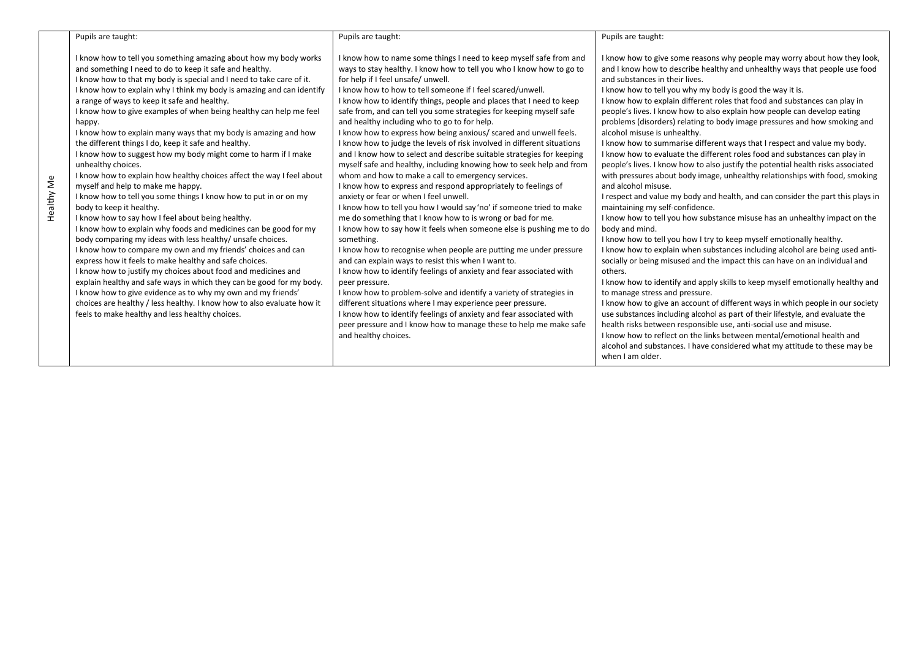|            | Pupils are taught:                                                                                                                                                                                                                                                                                                                                                                                                                                                                                                                                                                                                                                                                                                                                                                                                                                                                                                                                                                                                                                                                                                                                                                                                                                                                                                                                                                                                                                                                                   | Pupils are taught:                                                                                                                                                                                                                                                                                                                                                                                                                                                                                                                                                                                                                                                                                                                                                                                                                                                                                                                                                                                                                                                                                                                                                                                                                                                                                                                                                                                                                                                                                                                                                                                                                                                         | Pupils are taught:                                                                                                                                                                                                                                                                                                                                                                                                                                                                                                                                                                                                                                                                                                                                                                                                                                                                                                                                                                                                                                                                                                                                                                                                                                                                                                                                                                                                                                                                                                                                                                                                                                                                                                                                                                                                                                                                                |
|------------|------------------------------------------------------------------------------------------------------------------------------------------------------------------------------------------------------------------------------------------------------------------------------------------------------------------------------------------------------------------------------------------------------------------------------------------------------------------------------------------------------------------------------------------------------------------------------------------------------------------------------------------------------------------------------------------------------------------------------------------------------------------------------------------------------------------------------------------------------------------------------------------------------------------------------------------------------------------------------------------------------------------------------------------------------------------------------------------------------------------------------------------------------------------------------------------------------------------------------------------------------------------------------------------------------------------------------------------------------------------------------------------------------------------------------------------------------------------------------------------------------|----------------------------------------------------------------------------------------------------------------------------------------------------------------------------------------------------------------------------------------------------------------------------------------------------------------------------------------------------------------------------------------------------------------------------------------------------------------------------------------------------------------------------------------------------------------------------------------------------------------------------------------------------------------------------------------------------------------------------------------------------------------------------------------------------------------------------------------------------------------------------------------------------------------------------------------------------------------------------------------------------------------------------------------------------------------------------------------------------------------------------------------------------------------------------------------------------------------------------------------------------------------------------------------------------------------------------------------------------------------------------------------------------------------------------------------------------------------------------------------------------------------------------------------------------------------------------------------------------------------------------------------------------------------------------|---------------------------------------------------------------------------------------------------------------------------------------------------------------------------------------------------------------------------------------------------------------------------------------------------------------------------------------------------------------------------------------------------------------------------------------------------------------------------------------------------------------------------------------------------------------------------------------------------------------------------------------------------------------------------------------------------------------------------------------------------------------------------------------------------------------------------------------------------------------------------------------------------------------------------------------------------------------------------------------------------------------------------------------------------------------------------------------------------------------------------------------------------------------------------------------------------------------------------------------------------------------------------------------------------------------------------------------------------------------------------------------------------------------------------------------------------------------------------------------------------------------------------------------------------------------------------------------------------------------------------------------------------------------------------------------------------------------------------------------------------------------------------------------------------------------------------------------------------------------------------------------------------|
| Healthy Me | I know how to tell you something amazing about how my body works<br>and something I need to do to keep it safe and healthy.<br>I know how to that my body is special and I need to take care of it.<br>I know how to explain why I think my body is amazing and can identify<br>a range of ways to keep it safe and healthy.<br>I know how to give examples of when being healthy can help me feel<br>happy.<br>I know how to explain many ways that my body is amazing and how<br>the different things I do, keep it safe and healthy.<br>I know how to suggest how my body might come to harm if I make<br>unhealthy choices.<br>I know how to explain how healthy choices affect the way I feel about<br>myself and help to make me happy.<br>I know how to tell you some things I know how to put in or on my<br>body to keep it healthy.<br>I know how to say how I feel about being healthy.<br>I know how to explain why foods and medicines can be good for my<br>body comparing my ideas with less healthy/ unsafe choices.<br>I know how to compare my own and my friends' choices and can<br>express how it feels to make healthy and safe choices.<br>I know how to justify my choices about food and medicines and<br>explain healthy and safe ways in which they can be good for my body.<br>I know how to give evidence as to why my own and my friends'<br>choices are healthy / less healthy. I know how to also evaluate how it<br>feels to make healthy and less healthy choices. | I know how to name some things I need to keep myself safe from and<br>ways to stay healthy. I know how to tell you who I know how to go to<br>for help if I feel unsafe/ unwell.<br>I know how to how to tell someone if I feel scared/unwell.<br>I know how to identify things, people and places that I need to keep<br>safe from, and can tell you some strategies for keeping myself safe<br>and healthy including who to go to for help.<br>I know how to express how being anxious/ scared and unwell feels.<br>I know how to judge the levels of risk involved in different situations<br>and I know how to select and describe suitable strategies for keeping<br>myself safe and healthy, including knowing how to seek help and from<br>whom and how to make a call to emergency services.<br>I know how to express and respond appropriately to feelings of<br>anxiety or fear or when I feel unwell.<br>I know how to tell you how I would say 'no' if someone tried to make<br>me do something that I know how to is wrong or bad for me.<br>I know how to say how it feels when someone else is pushing me to do<br>something.<br>I know how to recognise when people are putting me under pressure<br>and can explain ways to resist this when I want to.<br>I know how to identify feelings of anxiety and fear associated with<br>peer pressure.<br>I know how to problem-solve and identify a variety of strategies in<br>different situations where I may experience peer pressure.<br>I know how to identify feelings of anxiety and fear associated with<br>peer pressure and I know how to manage these to help me make safe<br>and healthy choices. | I know how to give some reasons why people may worry about how they look,<br>and I know how to describe healthy and unhealthy ways that people use food<br>and substances in their lives.<br>I know how to tell you why my body is good the way it is.<br>I know how to explain different roles that food and substances can play in<br>people's lives. I know how to also explain how people can develop eating<br>problems (disorders) relating to body image pressures and how smoking and<br>alcohol misuse is unhealthy.<br>I know how to summarise different ways that I respect and value my body.<br>I know how to evaluate the different roles food and substances can play in<br>people's lives. I know how to also justify the potential health risks associated<br>with pressures about body image, unhealthy relationships with food, smoking<br>and alcohol misuse.<br>I respect and value my body and health, and can consider the part this plays in<br>maintaining my self-confidence.<br>I know how to tell you how substance misuse has an unhealthy impact on the<br>body and mind.<br>I know how to tell you how I try to keep myself emotionally healthy.<br>I know how to explain when substances including alcohol are being used anti-<br>socially or being misused and the impact this can have on an individual and<br>others.<br>I know how to identify and apply skills to keep myself emotionally healthy and<br>to manage stress and pressure.<br>I know how to give an account of different ways in which people in our society<br>use substances including alcohol as part of their lifestyle, and evaluate the<br>health risks between responsible use, anti-social use and misuse.<br>I know how to reflect on the links between mental/emotional health and<br>alcohol and substances. I have considered what my attitude to these may be<br>when I am older. |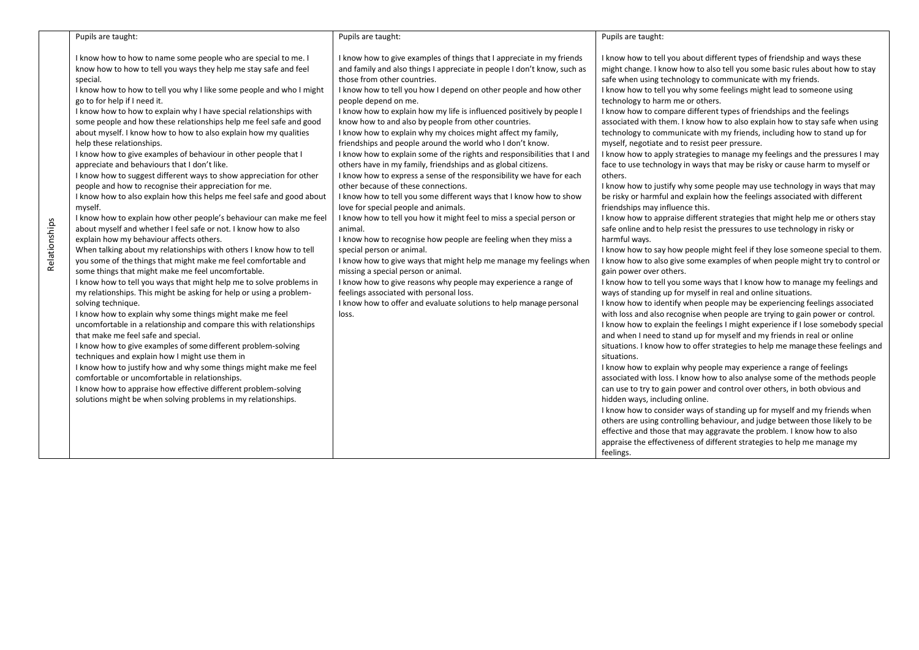| Pupils are taught:                                                                                                                                                                                                                                                                                                                                                                                                                                                                                                                                                                                                                                                                                                                                                                                                                                                                                                                                                                                                                                                                                                                                                                                                                                                                                                                                                                                                                                                                                                                                                                                                                                                                                                                                                                                                                                                                                                                                        | Pupils are taught:                                                                                                                                                                                                                                                                                                                                                                                                                                                                                                                                                                                                                                                                                                                                                                                                                                                                                                                                                                                                                                                                                                                                                                                                                                                                                                                                                                                                 | Pupils are taught:                                                                                                                                                                                                                                                                                                                                                                                                                                                                                                                                                                                                                                                                                                                                                                                                                                                                                                                                                                                                                                                                                                                                                                                                                                                                                                                                                                                                                                                                                                                                                                                                                                                                                                                                                                                                                                                                                                                                                                                                                                                                                                                                                                                                                                                                                                                                                                                                                                                                                                                                                |
|-----------------------------------------------------------------------------------------------------------------------------------------------------------------------------------------------------------------------------------------------------------------------------------------------------------------------------------------------------------------------------------------------------------------------------------------------------------------------------------------------------------------------------------------------------------------------------------------------------------------------------------------------------------------------------------------------------------------------------------------------------------------------------------------------------------------------------------------------------------------------------------------------------------------------------------------------------------------------------------------------------------------------------------------------------------------------------------------------------------------------------------------------------------------------------------------------------------------------------------------------------------------------------------------------------------------------------------------------------------------------------------------------------------------------------------------------------------------------------------------------------------------------------------------------------------------------------------------------------------------------------------------------------------------------------------------------------------------------------------------------------------------------------------------------------------------------------------------------------------------------------------------------------------------------------------------------------------|--------------------------------------------------------------------------------------------------------------------------------------------------------------------------------------------------------------------------------------------------------------------------------------------------------------------------------------------------------------------------------------------------------------------------------------------------------------------------------------------------------------------------------------------------------------------------------------------------------------------------------------------------------------------------------------------------------------------------------------------------------------------------------------------------------------------------------------------------------------------------------------------------------------------------------------------------------------------------------------------------------------------------------------------------------------------------------------------------------------------------------------------------------------------------------------------------------------------------------------------------------------------------------------------------------------------------------------------------------------------------------------------------------------------|-------------------------------------------------------------------------------------------------------------------------------------------------------------------------------------------------------------------------------------------------------------------------------------------------------------------------------------------------------------------------------------------------------------------------------------------------------------------------------------------------------------------------------------------------------------------------------------------------------------------------------------------------------------------------------------------------------------------------------------------------------------------------------------------------------------------------------------------------------------------------------------------------------------------------------------------------------------------------------------------------------------------------------------------------------------------------------------------------------------------------------------------------------------------------------------------------------------------------------------------------------------------------------------------------------------------------------------------------------------------------------------------------------------------------------------------------------------------------------------------------------------------------------------------------------------------------------------------------------------------------------------------------------------------------------------------------------------------------------------------------------------------------------------------------------------------------------------------------------------------------------------------------------------------------------------------------------------------------------------------------------------------------------------------------------------------------------------------------------------------------------------------------------------------------------------------------------------------------------------------------------------------------------------------------------------------------------------------------------------------------------------------------------------------------------------------------------------------------------------------------------------------------------------------------------------------|
| I know how to how to name some people who are special to me. I<br>know how to how to tell you ways they help me stay safe and feel<br>special.<br>I know how to how to tell you why I like some people and who I might<br>go to for help if I need it.<br>I know how to how to explain why I have special relationships with<br>some people and how these relationships help me feel safe and good<br>about myself. I know how to how to also explain how my qualities<br>help these relationships.<br>I know how to give examples of behaviour in other people that I<br>appreciate and behaviours that I don't like.<br>I know how to suggest different ways to show appreciation for other<br>people and how to recognise their appreciation for me.<br>I know how to also explain how this helps me feel safe and good about<br>myself.<br>I know how to explain how other people's behaviour can make me feel<br>about myself and whether I feel safe or not. I know how to also<br>explain how my behaviour affects others.<br>When talking about my relationships with others I know how to tell<br>you some of the things that might make me feel comfortable and<br>some things that might make me feel uncomfortable.<br>I know how to tell you ways that might help me to solve problems in<br>my relationships. This might be asking for help or using a problem-<br>solving technique.<br>I know how to explain why some things might make me feel<br>uncomfortable in a relationship and compare this with relationships<br>that make me feel safe and special.<br>I know how to give examples of some different problem-solving<br>techniques and explain how I might use them in<br>I know how to justify how and why some things might make me feel<br>comfortable or uncomfortable in relationships.<br>I know how to appraise how effective different problem-solving<br>solutions might be when solving problems in my relationships. | I know how to give examples of things that I appreciate in my friends<br>and family and also things I appreciate in people I don't know, such as<br>those from other countries.<br>I know how to tell you how I depend on other people and how other<br>people depend on me.<br>I know how to explain how my life is influenced positively by people I<br>know how to and also by people from other countries.<br>I know how to explain why my choices might affect my family,<br>friendships and people around the world who I don't know.<br>I know how to explain some of the rights and responsibilities that I and<br>others have in my family, friendships and as global citizens.<br>I know how to express a sense of the responsibility we have for each<br>other because of these connections.<br>I know how to tell you some different ways that I know how to show<br>love for special people and animals.<br>I know how to tell you how it might feel to miss a special person or<br>animal.<br>I know how to recognise how people are feeling when they miss a<br>special person or animal.<br>I know how to give ways that might help me manage my feelings when<br>missing a special person or animal.<br>I know how to give reasons why people may experience a range of<br>feelings associated with personal loss.<br>I know how to offer and evaluate solutions to help manage personal<br>loss. | I know how to tell you about different types of friendship and ways these<br>might change. I know how to also tell you some basic rules about how to stay<br>safe when using technology to communicate with my friends.<br>I know how to tell you why some feelings might lead to someone using<br>technology to harm me or others.<br>I know how to compare different types of friendships and the feelings<br>associated with them. I know how to also explain how to stay safe when using<br>technology to communicate with my friends, including how to stand up for<br>myself, negotiate and to resist peer pressure.<br>I know how to apply strategies to manage my feelings and the pressures I may<br>face to use technology in ways that may be risky or cause harm to myself or<br>others.<br>I know how to justify why some people may use technology in ways that may<br>be risky or harmful and explain how the feelings associated with different<br>friendships may influence this.<br>I know how to appraise different strategies that might help me or others stay<br>safe online and to help resist the pressures to use technology in risky or<br>harmful wavs.<br>I know how to say how people might feel if they lose someone special to them.<br>I know how to also give some examples of when people might try to control or<br>gain power over others.<br>I know how to tell you some ways that I know how to manage my feelings and<br>ways of standing up for myself in real and online situations.<br>I know how to identify when people may be experiencing feelings associated<br>with loss and also recognise when people are trying to gain power or control.<br>I know how to explain the feelings I might experience if I lose somebody special<br>and when I need to stand up for myself and my friends in real or online<br>situations. I know how to offer strategies to help me manage these feelings and<br>situations.<br>I know how to explain why people may experience a range of feelings<br>associated with loss. I know how to also analyse some of the methods people<br>can use to try to gain power and control over others, in both obvious and<br>hidden ways, including online.<br>I know how to consider ways of standing up for myself and my friends when<br>others are using controlling behaviour, and judge between those likely to be<br>effective and those that may aggravate the problem. I know how to also<br>appraise the effectiveness of different strategies to help me manage my<br>feelings. |
|                                                                                                                                                                                                                                                                                                                                                                                                                                                                                                                                                                                                                                                                                                                                                                                                                                                                                                                                                                                                                                                                                                                                                                                                                                                                                                                                                                                                                                                                                                                                                                                                                                                                                                                                                                                                                                                                                                                                                           |                                                                                                                                                                                                                                                                                                                                                                                                                                                                                                                                                                                                                                                                                                                                                                                                                                                                                                                                                                                                                                                                                                                                                                                                                                                                                                                                                                                                                    |                                                                                                                                                                                                                                                                                                                                                                                                                                                                                                                                                                                                                                                                                                                                                                                                                                                                                                                                                                                                                                                                                                                                                                                                                                                                                                                                                                                                                                                                                                                                                                                                                                                                                                                                                                                                                                                                                                                                                                                                                                                                                                                                                                                                                                                                                                                                                                                                                                                                                                                                                                   |

Relationships